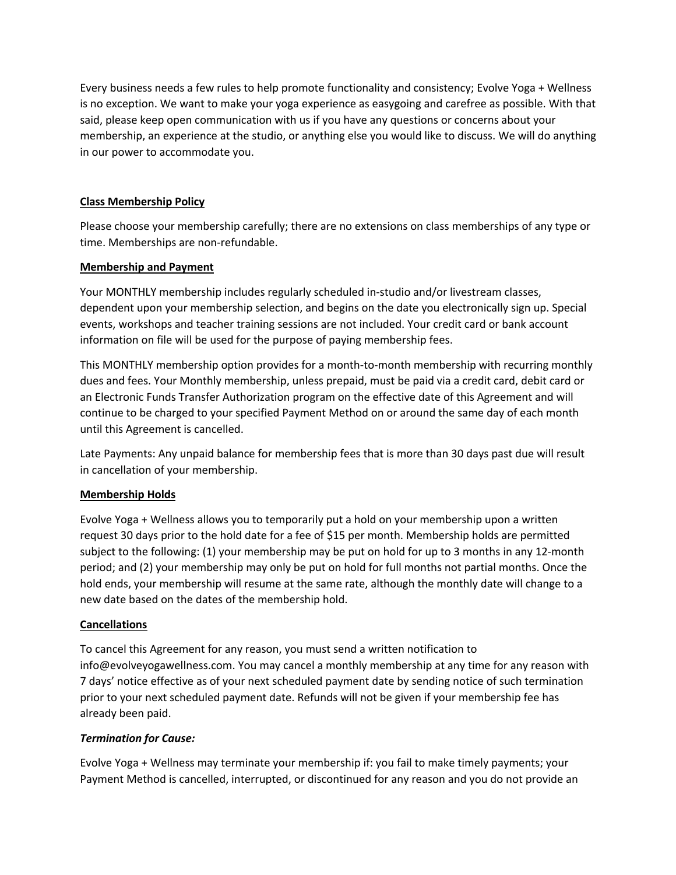Every business needs a few rules to help promote functionality and consistency; Evolve Yoga + Wellness is no exception. We want to make your yoga experience as easygoing and carefree as possible. With that said, please keep open communication with us if you have any questions or concerns about your membership, an experience at the studio, or anything else you would like to discuss. We will do anything in our power to accommodate you.

## **Class Membership Policy**

Please choose your membership carefully; there are no extensions on class memberships of any type or time. Memberships are non-refundable.

## **Membership and Payment**

Your MONTHLY membership includes regularly scheduled in-studio and/or livestream classes, dependent upon your membership selection, and begins on the date you electronically sign up. Special events, workshops and teacher training sessions are not included. Your credit card or bank account information on file will be used for the purpose of paying membership fees.

This MONTHLY membership option provides for a month-to-month membership with recurring monthly dues and fees. Your Monthly membership, unless prepaid, must be paid via a credit card, debit card or an Electronic Funds Transfer Authorization program on the effective date of this Agreement and will continue to be charged to your specified Payment Method on or around the same day of each month until this Agreement is cancelled.

Late Payments: Any unpaid balance for membership fees that is more than 30 days past due will result in cancellation of your membership.

# **Membership Holds**

Evolve Yoga + Wellness allows you to temporarily put a hold on your membership upon a written request 30 days prior to the hold date for a fee of \$15 per month. Membership holds are permitted subject to the following: (1) your membership may be put on hold for up to 3 months in any 12-month period; and (2) your membership may only be put on hold for full months not partial months. Once the hold ends, your membership will resume at the same rate, although the monthly date will change to a new date based on the dates of the membership hold.

### **Cancellations**

To cancel this Agreement for any reason, you must send a written notification to info@evolveyogawellness.com. You may cancel a monthly membership at any time for any reason with 7 days' notice effective as of your next scheduled payment date by sending notice of such termination prior to your next scheduled payment date. Refunds will not be given if your membership fee has already been paid.

# *Termination for Cause:*

Evolve Yoga + Wellness may terminate your membership if: you fail to make timely payments; your Payment Method is cancelled, interrupted, or discontinued for any reason and you do not provide an